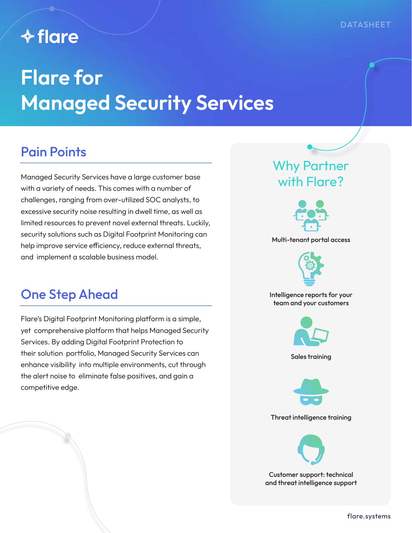## **↑ flare**

# **Flare for Managed Security Services**

### Pain Points

Managed Security Services have a large customer base with a variety of needs. This comes with a number of challenges, ranging from over-utilized SOC analysts, to excessive security noise resulting in dwell time, as well as limited resources to prevent novel external threats. Luckily, security solutions such as Digital Footprint Monitoring can help improve service efficiency, reduce external threats, and implement a scalable business model.

### One Step Ahead

Flare's Digital Footprint Monitoring platform is a simple, yet comprehensive platform that helps Managed Security Services. By adding Digital Footprint Protection to their solution portfolio, Managed Security Services can enhance visibility into multiple environments, cut through the alert noise to eliminate false positives, and gain a competitive edge.

### Why Partner with Flare?



Multi-tenant portal access



Intelligence reports for your team and your customers



Sales training



Threat intelligence training



Customer support: technical and threat intelligence support